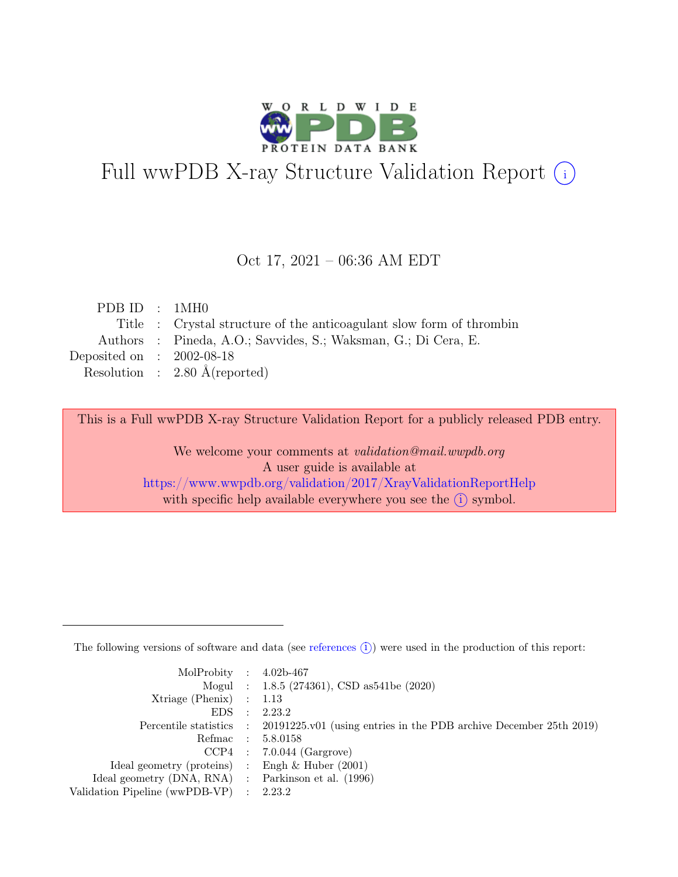

# Full wwPDB X-ray Structure Validation Report  $(i)$

#### Oct 17, 2021 – 06:36 AM EDT

| PDBID : 1MH0                |                                                                      |
|-----------------------------|----------------------------------------------------------------------|
|                             | Title : Crystal structure of the anticoagulant slow form of thrombin |
|                             | Authors : Pineda, A.O.; Savvides, S.; Waksman, G.; Di Cera, E.       |
| Deposited on : $2002-08-18$ |                                                                      |
|                             | Resolution : $2.80 \text{ Å}$ (reported)                             |
|                             |                                                                      |

This is a Full wwPDB X-ray Structure Validation Report for a publicly released PDB entry.

We welcome your comments at validation@mail.wwpdb.org A user guide is available at <https://www.wwpdb.org/validation/2017/XrayValidationReportHelp> with specific help available everywhere you see the  $(i)$  symbol.

The following versions of software and data (see [references](https://www.wwpdb.org/validation/2017/XrayValidationReportHelp#references)  $(i)$ ) were used in the production of this report:

| MolProbity : $4.02b-467$                            |           |                                                                                            |
|-----------------------------------------------------|-----------|--------------------------------------------------------------------------------------------|
|                                                     |           | Mogul : 1.8.5 (274361), CSD as 541be (2020)                                                |
| $Xtriangle (Phenix)$ : 1.13                         |           |                                                                                            |
| EDS                                                 | $\cdot$ : | 2.23.2                                                                                     |
|                                                     |           | Percentile statistics : 20191225.v01 (using entries in the PDB archive December 25th 2019) |
| Refmac : 5.8.0158                                   |           |                                                                                            |
|                                                     |           | $CCP4$ : 7.0.044 (Gargrove)                                                                |
| Ideal geometry (proteins) : Engh $\&$ Huber (2001)  |           |                                                                                            |
| Ideal geometry (DNA, RNA) : Parkinson et al. (1996) |           |                                                                                            |
| Validation Pipeline (wwPDB-VP) : 2.23.2             |           |                                                                                            |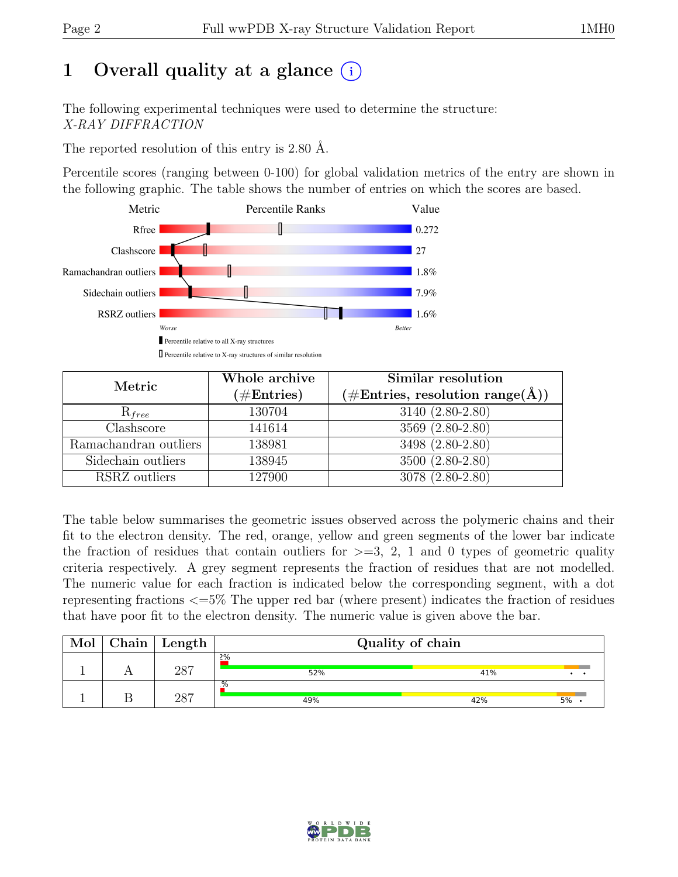# 1 Overall quality at a glance  $(i)$

The following experimental techniques were used to determine the structure: X-RAY DIFFRACTION

The reported resolution of this entry is 2.80 Å.

Percentile scores (ranging between 0-100) for global validation metrics of the entry are shown in the following graphic. The table shows the number of entries on which the scores are based.



| Metric                | Whole archive<br>$(\#\text{Entries})$ | Similar resolution<br>$(\# \text{Entries}, \text{ resolution range}(\AA))$ |
|-----------------------|---------------------------------------|----------------------------------------------------------------------------|
| $R_{free}$            | 130704                                | 3140 (2.80-2.80)                                                           |
| Clashscore            | 141614                                | 3569 (2.80-2.80)                                                           |
| Ramachandran outliers | 138981                                | $3498 (2.80 - 2.80)$                                                       |
| Sidechain outliers    | 138945                                | 3500 (2.80-2.80)                                                           |
| RSRZ outliers         | 127900                                | 3078 (2.80-2.80)                                                           |

The table below summarises the geometric issues observed across the polymeric chains and their fit to the electron density. The red, orange, yellow and green segments of the lower bar indicate the fraction of residues that contain outliers for  $\geq$ =3, 2, 1 and 0 types of geometric quality criteria respectively. A grey segment represents the fraction of residues that are not modelled. The numeric value for each fraction is indicated below the corresponding segment, with a dot representing fractions <=5% The upper red bar (where present) indicates the fraction of residues that have poor fit to the electron density. The numeric value is given above the bar.

| Mol | Chain | Length | Quality of chain |     |         |  |  |  |
|-----|-------|--------|------------------|-----|---------|--|--|--|
|     |       | 287    | 2%<br>52%        | 41% |         |  |  |  |
|     |       | 287    | %<br>49%         | 42% | $5\%$ . |  |  |  |

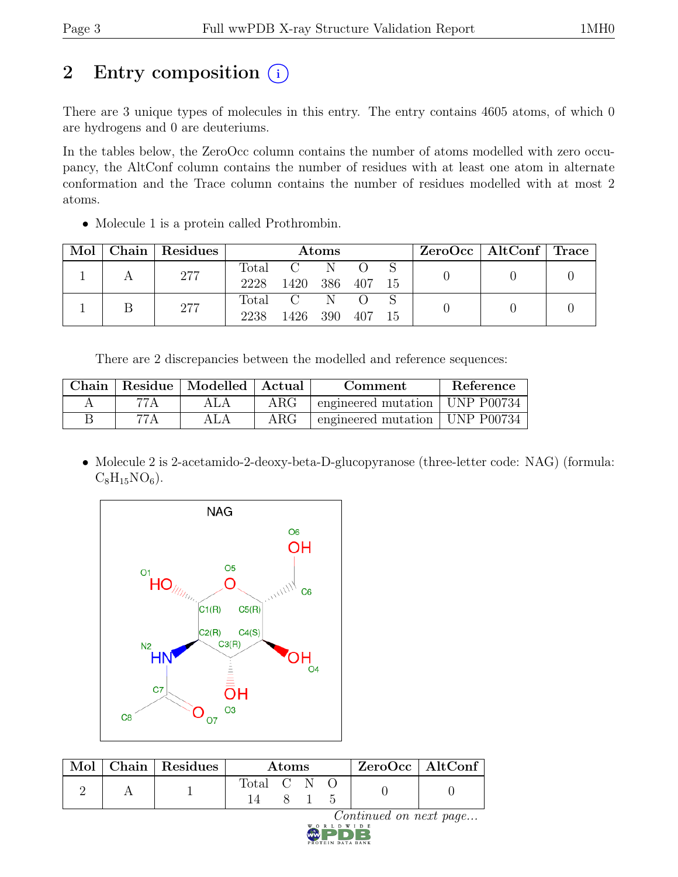# 2 Entry composition (i)

There are 3 unique types of molecules in this entry. The entry contains 4605 atoms, of which 0 are hydrogens and 0 are deuteriums.

In the tables below, the ZeroOcc column contains the number of atoms modelled with zero occupancy, the AltConf column contains the number of residues with at least one atom in alternate conformation and the Trace column contains the number of residues modelled with at most 2 atoms.

• Molecule 1 is a protein called Prothrombin.

| Mol | Chain   Residues | Atoms         |                            |  |        | $ZeroOcc \mid AltConf \mid Trace \mid$ |  |  |
|-----|------------------|---------------|----------------------------|--|--------|----------------------------------------|--|--|
|     | 277              | Total<br>2228 | $C = N$<br>1420 386 407 15 |  |        |                                        |  |  |
|     | 277              | 2238          | Total C N<br>1426 390      |  | 407 15 |                                        |  |  |

There are 2 discrepancies between the modelled and reference sequences:

|      | Chain   Residue   Modelled   Actual |            | Comment                          | Reference |
|------|-------------------------------------|------------|----------------------------------|-----------|
| 77 A |                                     | $\rm{ARG}$ | engineered mutation   UNP P00734 |           |
| 77 A |                                     | $\rm{ARG}$ | engineered mutation   UNP P00734 |           |

• Molecule 2 is 2-acetamido-2-deoxy-beta-D-glucopyranose (three-letter code: NAG) (formula:  $C_8H_{15}NO_6$ .



| Mol - | $ $ Chain $ $ Residues | Atoms       |  |  |  | $ZeroOcc$   AltConf |
|-------|------------------------|-------------|--|--|--|---------------------|
|       |                        | Total C N C |  |  |  |                     |

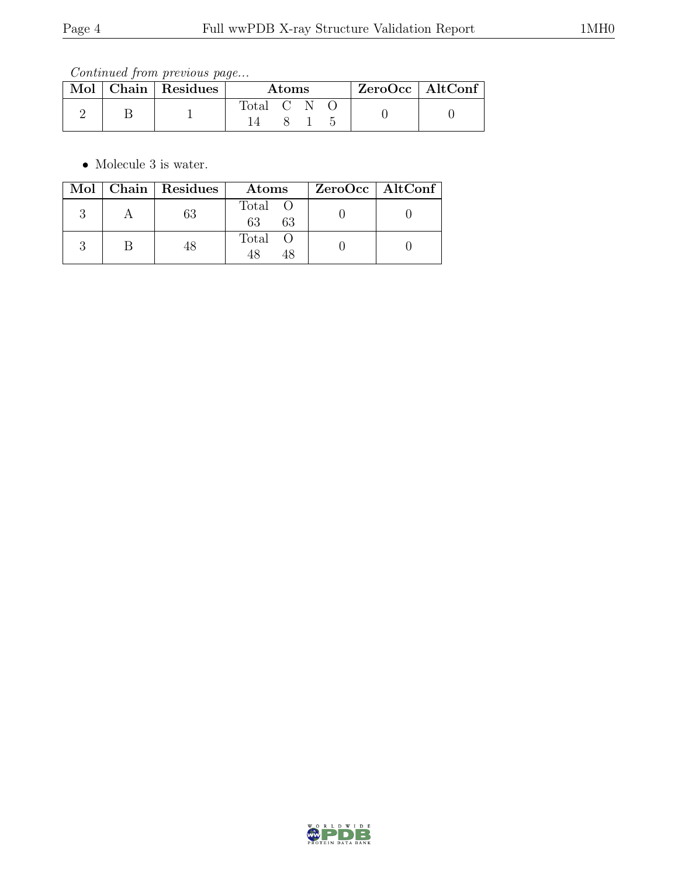Continued from previous page...

|  | Mol   Chain   Residues | Atoms     |  |  |  | $ZeroOcc$   AltConf |
|--|------------------------|-----------|--|--|--|---------------------|
|  |                        | Total C N |  |  |  |                     |

• Molecule 3 is water.

|  | Mol   Chain   Residues | Atoms               | $ZeroOcc \   \$ AltConf |
|--|------------------------|---------------------|-------------------------|
|  |                        | Total O<br>63<br>63 |                         |
|  |                        | Total O             |                         |

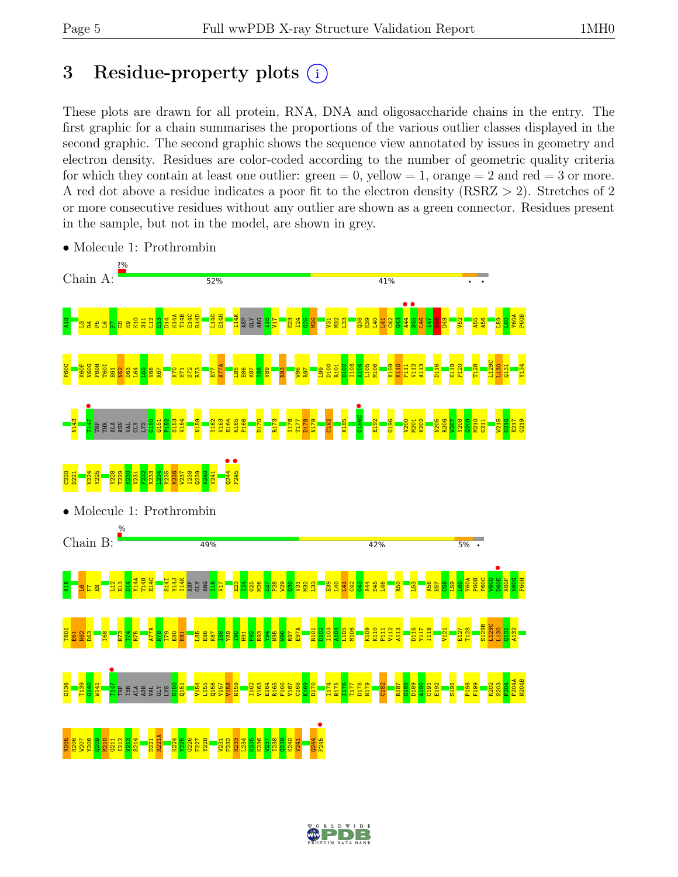# 3 Residue-property plots  $(i)$

These plots are drawn for all protein, RNA, DNA and oligosaccharide chains in the entry. The first graphic for a chain summarises the proportions of the various outlier classes displayed in the second graphic. The second graphic shows the sequence view annotated by issues in geometry and electron density. Residues are color-coded according to the number of geometric quality criteria for which they contain at least one outlier:  $green = 0$ , yellow  $= 1$ , orange  $= 2$  and red  $= 3$  or more. A red dot above a residue indicates a poor fit to the electron density (RSRZ > 2). Stretches of 2 or more consecutive residues without any outlier are shown as a green connector. Residues present in the sample, but not in the model, are shown in grey.



• Molecule 1: Prothrombin

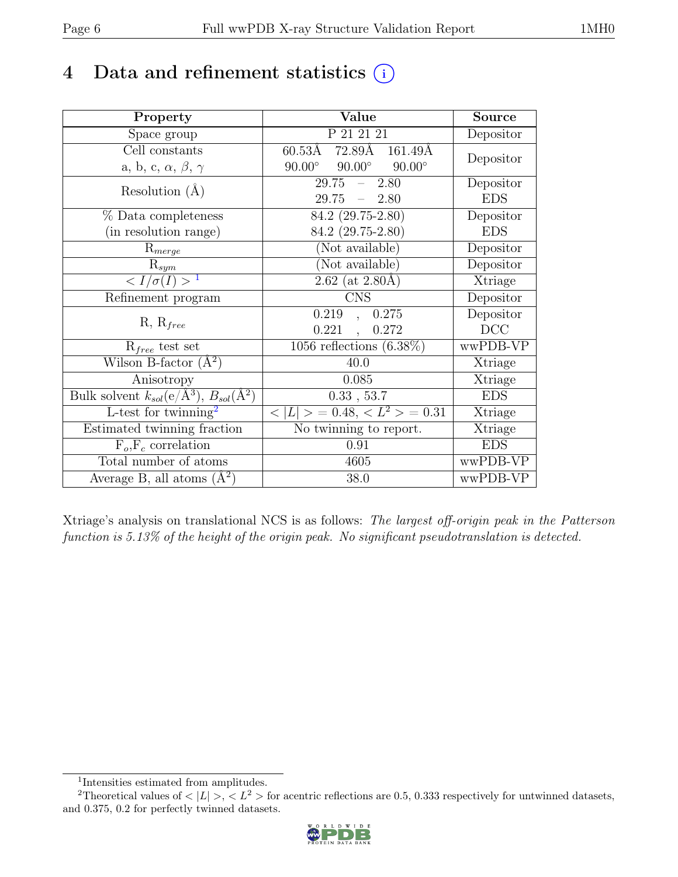# 4 Data and refinement statistics  $(i)$

| Property                                                             | Value                                           | <b>Source</b> |
|----------------------------------------------------------------------|-------------------------------------------------|---------------|
| Space group                                                          | P 21 21 21                                      | Depositor     |
| Cell constants                                                       | $60.53\text{\AA}$ 72.89Å 161.49Å                |               |
| a, b, c, $\alpha$ , $\beta$ , $\gamma$                               | $90.00^\circ$<br>$90.00^\circ$<br>$90.00^\circ$ | Depositor     |
| Resolution $(A)$                                                     | 29.75<br>2.80<br>$\frac{1}{2}$                  | Depositor     |
|                                                                      | 29.75<br>$-2.80$                                | <b>EDS</b>    |
| % Data completeness                                                  | 84.2 (29.75-2.80)                               | Depositor     |
| (in resolution range)                                                | 84.2 (29.75-2.80)                               | <b>EDS</b>    |
| $\mathrm{R}_{merge}$                                                 | (Not available)                                 | Depositor     |
| $R_{sym}$                                                            | (Not available)                                 | Depositor     |
| $\langle I/\sigma(I) \rangle^{-1}$                                   | $2.62$ (at $2.80\text{\AA}$ )                   | Xtriage       |
| Refinement program                                                   | <b>CNS</b>                                      | Depositor     |
|                                                                      | 0.219<br>0.275<br>$\overline{\phantom{a}}$      | Depositor     |
| $R, R_{free}$                                                        | 0.221<br>0.272                                  | DCC           |
| $R_{free}$ test set                                                  | $\overline{1056}$ reflections $(6.38\%)$        | wwPDB-VP      |
| Wilson B-factor $(A^2)$                                              | 40.0                                            | Xtriage       |
| Anisotropy                                                           | 0.085                                           | Xtriage       |
| Bulk solvent $k_{sol}(e/\mathring{A}^3)$ , $B_{sol}(\mathring{A}^2)$ | 0.33, 53.7                                      | <b>EDS</b>    |
| L-test for twinning <sup>2</sup>                                     | $< L >$ = 0.48, $< L^2 >$ = 0.31                | Xtriage       |
| Estimated twinning fraction                                          | No twinning to report.                          | Xtriage       |
| $\overline{F_o,F_c}$ correlation                                     | 0.91                                            | <b>EDS</b>    |
| Total number of atoms                                                | 4605                                            | wwPDB-VP      |
| Average B, all atoms $(A^2)$                                         | 38.0                                            | wwPDB-VP      |

Xtriage's analysis on translational NCS is as follows: The largest off-origin peak in the Patterson function is 5.13% of the height of the origin peak. No significant pseudotranslation is detected.

<sup>&</sup>lt;sup>2</sup>Theoretical values of  $\langle |L| \rangle$ ,  $\langle L^2 \rangle$  for acentric reflections are 0.5, 0.333 respectively for untwinned datasets, and 0.375, 0.2 for perfectly twinned datasets.



<span id="page-5-1"></span><span id="page-5-0"></span><sup>1</sup> Intensities estimated from amplitudes.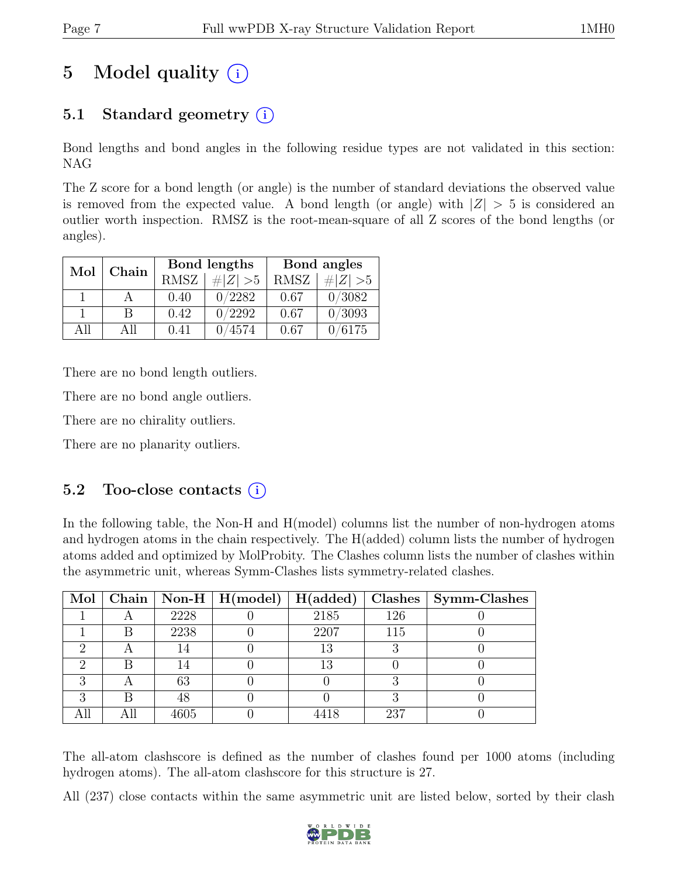# 5 Model quality  $(i)$

# 5.1 Standard geometry  $(i)$

Bond lengths and bond angles in the following residue types are not validated in this section: NAG

The Z score for a bond length (or angle) is the number of standard deviations the observed value is removed from the expected value. A bond length (or angle) with  $|Z| > 5$  is considered an outlier worth inspection. RMSZ is the root-mean-square of all Z scores of the bond lengths (or angles).

| Mol | Chain |             | Bond lengths | Bond angles |             |  |
|-----|-------|-------------|--------------|-------------|-------------|--|
|     |       | <b>RMSZ</b> | $\# Z  > 5$  | <b>RMSZ</b> | $\# Z  > 5$ |  |
|     |       | 0.40        | 0/2282       | 0.67        | 0/3082      |  |
|     | В     | 0.42        | 0/2292       | 0.67        | 0/3093      |  |
| ΑH  | All   | 0.41        | 0/4574       | 0.67        | 0/6175      |  |

There are no bond length outliers.

There are no bond angle outliers.

There are no chirality outliers.

There are no planarity outliers.

### 5.2 Too-close contacts  $(i)$

In the following table, the Non-H and H(model) columns list the number of non-hydrogen atoms and hydrogen atoms in the chain respectively. The H(added) column lists the number of hydrogen atoms added and optimized by MolProbity. The Clashes column lists the number of clashes within the asymmetric unit, whereas Symm-Clashes lists symmetry-related clashes.

|   |     |      | Mol   Chain   Non-H   H(model)   H(added) |      |     | $Clashes$   Symm-Clashes |
|---|-----|------|-------------------------------------------|------|-----|--------------------------|
|   |     | 2228 |                                           | 2185 | 126 |                          |
|   | В   | 2238 |                                           | 2207 | 115 |                          |
|   |     | 14   |                                           | 13   |     |                          |
|   |     | 14   |                                           | 13   |     |                          |
|   |     | 63   |                                           |      |     |                          |
| ച |     | 48   |                                           |      |     |                          |
|   | All | 4605 |                                           | 4418 | 237 |                          |

The all-atom clashscore is defined as the number of clashes found per 1000 atoms (including hydrogen atoms). The all-atom clashscore for this structure is 27.

All (237) close contacts within the same asymmetric unit are listed below, sorted by their clash

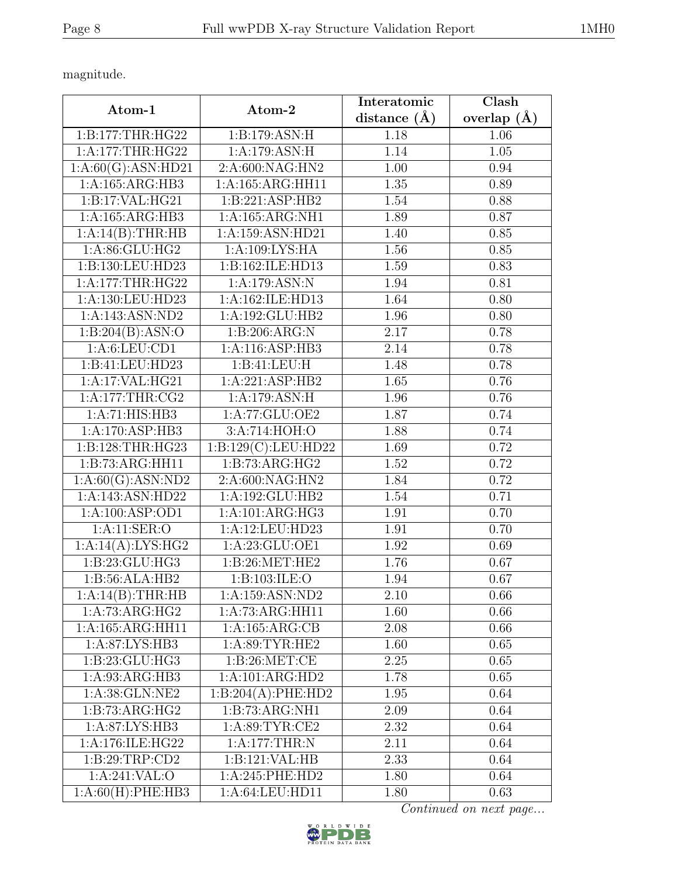magnitude.

| Atom-1             | Atom-2              | Interatomic    | Clash         |  |
|--------------------|---------------------|----------------|---------------|--|
|                    |                     | distance $(A)$ | overlap $(A)$ |  |
| 1:B:177:THR:HG22   | 1:B:179:ASN:H       | 1.18           | 1.06          |  |
| 1:A:177:THR:HG22   | 1:A:179:ASN:H       | 1.14           | 1.05          |  |
| 1:A:60(G):ASN:HD21 | 2:A:600:NAG:HN2     | 1.00           | 0.94          |  |
| 1:A:165:ARG:HB3    | 1:A:165:ARG:HH11    | 1.35           | 0.89          |  |
| 1:B:17:VAL:HG21    | 1:B:221:ASP:HB2     | 1.54           | 0.88          |  |
| 1:A:165:ARG:HB3    | $1:$ A:165:ARG:NH1  | 1.89           | 0.87          |  |
| 1:A:14(B):THR:HB   | $1:$ A:159:ASN:HD21 | 1.40           | 0.85          |  |
| 1: A:86: GLU: HG2  | 1:A:109:LYS:HA      | 1.56           | 0.85          |  |
| 1:B:130:LEU:HD23   | 1:B:162:ILE:HD13    | 1.59           | 0.83          |  |
| 1:A:177:THR:HG22   | 1:A:179:ASN:N       | 1.94           | 0.81          |  |
| 1:A:130:LEU:HD23   | 1:A:162:ILE:HD13    | 1.64           | 0.80          |  |
| 1:A:143:ASN:ND2    | 1:A:192:GLU:HB2     | 1.96           | 0.80          |  |
| 1:B:204(B):ASN:O   | 1:B:206:ARG:N       | 2.17           | 0.78          |  |
| 1: A:6: LEU: CD1   | 1:A:116:ASP:HB3     | 2.14           | 0.78          |  |
| 1:B:41:LEU:HD23    | 1:B:41:LEU:H        | 1.48           | 0.78          |  |
| 1:A:17:VAL:HG21    | 1:A:221:ASP:HB2     | 1.65           | 0.76          |  |
| 1: A:177:THR:CG2   | 1:A:179:ASN:H       | 1.96           | 0.76          |  |
| 1:A:71:HIS:HB3     | 1:A:77:GLU:OE2      | 1.87           | 0.74          |  |
| 1:A:170:ASP:HB3    | 3:A:714:HOH:O       | 1.88           | 0.74          |  |
| 1:B:128:THR:HG23   | 1:B:129(C):LEU:HD22 | 1.69           | 0.72          |  |
| 1:B:73:ARG:HH11    | 1:B:73:ARG:HG2      | 1.52           | 0.72          |  |
| 1:A:60(G):ASN:ND2  | 2:A:600:NAG:HN2     | 1.84           | 0.72          |  |
| 1:A:143:ASN:HD22   | 1:A:192:GLU:HB2     | 1.54           | 0.71          |  |
| 1:A:100:ASP:OD1    | 1:A:101:ARG:HG3     | 1.91           | 0.70          |  |
| 1:A:11:SER:O       | 1:A:12:LEU:HD23     | 1.91           | 0.70          |  |
| 1:A:14(A):LYS:HG2  | 1:A:23:GLU:OE1      | 1.92           | 0.69          |  |
| 1:B:23:GLU:HG3     | 1: B:26: MET:HE2    | 1.76           | 0.67          |  |
| 1:B:56:ALA:HB2     | 1: B: 103: ILE: O   | 1.94           | 0.67          |  |
| 1:A:14(B):THR:HB   | 1:A:159:ASN:ND2     | 2.10           | 0.66          |  |
| 1:A:73:ARG:HG2     | 1:A:73:ARG:HH11     | 1.60           | 0.66          |  |
| 1:A:165:ARG:HH11   | 1:A:165:ARG:CB      | 2.08           | 0.66          |  |
| 1:A:87:LYS:HB3     | 1:A:89:TYR:HE2      | 1.60           | 0.65          |  |
| 1:B:23:GLU:HG3     | 1: B:26: MET:CE     | 2.25           | 0.65          |  |
| 1:A:93:ARG:HB3     | 1:A:101:ARG:HD2     | 1.78           | 0.65          |  |
| 1:A:38:GLN:NE2     | 1:B:204(A):PHE:HD2  | 1.95           | 0.64          |  |
| 1:B:73:ARG:HG2     | 1:B:73:ARG:NH1      | 2.09           | 0.64          |  |
| 1:A:87:LYS:HB3     | 1: A:89: TYR: CE2   | 2.32           | 0.64          |  |
| 1:A:176:ILE:HG22   | 1:A:177:THR:N       | 2.11           | 0.64          |  |
| 1:B:29:TRP:CD2     | 1:B:121:VAL:HB      | 2.33           | 0.64          |  |
| 1:A:241:VAL:O      | 1:A:245:PHE:HD2     | 1.80           | 0.64          |  |
| 1:A:60(H):PHE:HB3  | 1:A:64:LEU:HD11     | 1.80           | 0.63          |  |

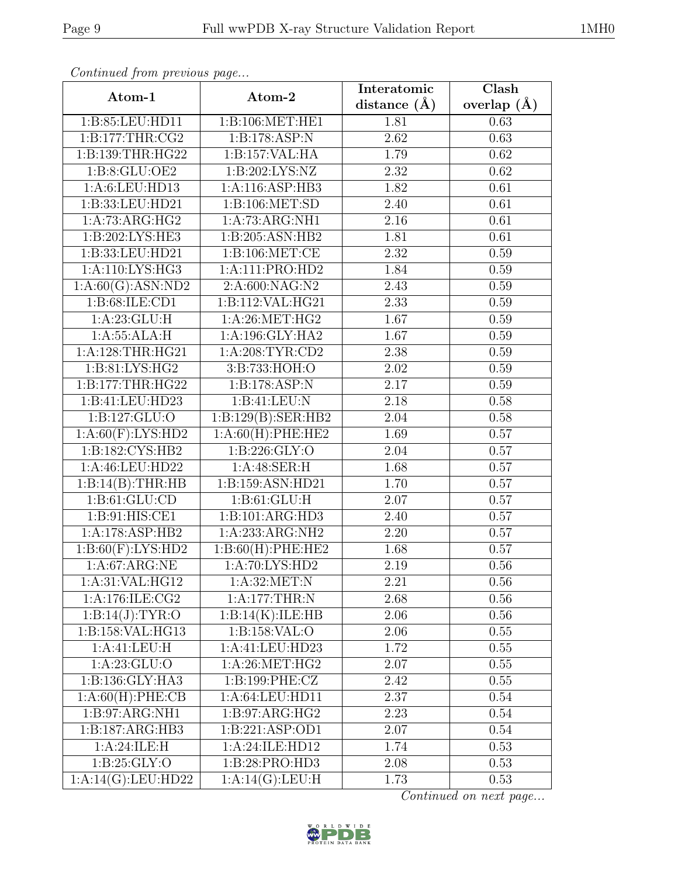|--|

|                      |                              | Interatomic       | $\overline{\text{Clash}}$ |
|----------------------|------------------------------|-------------------|---------------------------|
| Atom-1               | Atom-2                       | distance $(\AA)$  | overlap $(\AA)$           |
| 1:B:85:LEU:HD11      | 1:B:106:MET:HE1              | 1.81              | 0.63                      |
| 1: B: 177: THR: CG2  | 1:B:178:ASP:N                | 2.62              | 0.63                      |
| 1:B:139:THR:HG22     | 1:B:157:VAL:HA               | 1.79              | 0.62                      |
| 1:B:8:GLU:OE2        | 1:B:202:LYS:NZ               | 2.32              | 0.62                      |
| 1:A:6:LEU:HD13       | 1:A:116:ASP:HB3              | 1.82              | 0.61                      |
| 1:B:33:LEU:HD21      | 1: B: 106: MET: SD           | 2.40              | 0.61                      |
| 1:A:73:ARG:HG2       | $1:A:\overline{73:ARG:NH1}$  | 2.16              | 0.61                      |
| 1:B:202:LYS:HE3      | 1:B:205:ASN:HB2              | 1.81              | 0.61                      |
| 1:B:33:LEU:HD21      | 1: B: 106: MET: CE           | 2.32              | 0.59                      |
| 1:A:110:LYS:HG3      | 1:A:111:PRO:HD2              | 1.84              | 0.59                      |
| 1:A:60(G):ASN:ND2    | 2:A:600:NAG:N2               | 2.43              | 0.59                      |
| 1: B:68: ILE:CD1     | 1:B:112:VAL:HG21             | 2.33              | 0.59                      |
| 1:A:23:GLU:H         | 1:A:26:MET:HG2               | 1.67              | 0.59                      |
| 1:A:55:ALA:H         | 1:A:196:GLY:HA2              | 1.67              | 0.59                      |
| 1:A:128:THR:HG21     | 1: A:208: TYR:CD2            | 2.38              | 0.59                      |
| 1:B:81:LYS:HG2       | 3:B:733:HOH:O                | 2.02              | 0.59                      |
| 1: B: 177: THR: HG22 | 1:B:178:ASP:N                | 2.17              | 0.59                      |
| 1:B:41:LEU:HD23      | 1:B:41:LEU:N                 | 2.18              | 0.58                      |
| 1:B:127:GLU:O        | 1:B:129(B):SER:HB2           | 2.04              | 0.58                      |
| 1:A:60(F):LYS:HD2    | 1:A:60(H):PHE:HE2            | 1.69              | 0.57                      |
| 1:B:182:CYS:HB2      | 1: B: 226: GLY:O             | 2.04              | 0.57                      |
| 1:A:46:LEU:HD22      | 1: A:48: SER:H               | 1.68              | 0.57                      |
| 1:B:14(B):THR:HB     | 1:B:159:ASN:HD21             | 1.70              | 0.57                      |
| 1: B: 61: GLU: CD    | 1: B: 61: GLU: H             | 2.07              | 0.57                      |
| 1:B:91:HIS:CE1       | 1:B:101:ARG:HD3              | 2.40              | 0.57                      |
| 1:A:178:ASP:HB2      | 1: A: 233: ARG: NH2          | 2.20              | 0.57                      |
| 1:B:60(F):LYS:HD2    | 1:B:60(H):PHE:HE2            | 1.68              | 0.57                      |
| 1:A:67:ARG:NE        | 1: A:70: LYS: HD2            | $\overline{2.19}$ | 0.56                      |
| 1: A:31: VAL: HG12   | 1: A:32:MET:N                | 2.21              | 0.56                      |
| 1:A:176:ILE:CG2      | 1:A:177:THR:N                | 2.68              | 0.56                      |
| 1:B:14(J):TYR:O      | 1:B:14(K):ILE:HB             | 2.06              | 0.56                      |
| 1:B:158:VAL:HG13     | 1:B:158:VAL:O                | 2.06              | 0.55                      |
| 1: A:41: LEU: H      | 1:A:41:LEU:HD23              | 1.72              | 0.55                      |
| 1: A:23: GLU:O       | 1:A:26:MET:HG2               | 2.07              | 0.55                      |
| 1:B:136:GLY:HA3      | 1: B: 199: PHE: CZ           | 2.42              | 0.55                      |
| 1:A:60(H):PHE:CB     | 1:A:64:LEU:HD11              | 2.37              | 0.54                      |
| 1:B:97:ARG:NH1       | 1:B:97:ARG:HG2               | 2.23              | 0.54                      |
| 1:B:187:ARG:HB3      | 1:B:221:ASP:OD1              | 2.07              | 0.54                      |
| 1:A:24:ILE:H         | 1:A:24:ILE:HD12              | 1.74              | 0.53                      |
| 1: B:25: GLY:O       | 1:B:28:PRO:HD3               | 2.08              | 0.53                      |
| 1:A:14(G):LEU:HD22   | $1:A:1\overline{4(G):LEU:H}$ | 1.73              | 0.53                      |

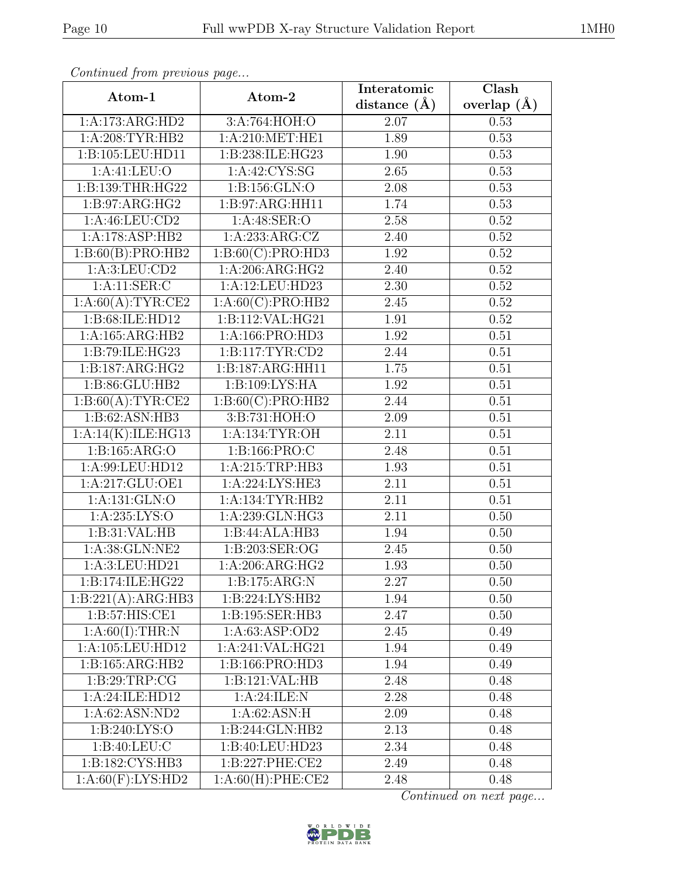| ۰, |  |  |  |
|----|--|--|--|
|----|--|--|--|

|                    | Atom-1<br>Atom-2          |                | $\overline{\text{Clash}}$ |  |  |
|--------------------|---------------------------|----------------|---------------------------|--|--|
|                    |                           | distance $(A)$ | overlap $(\AA)$           |  |  |
| 1:A:173:ARG:HD2    | 3:A:764:HOH:O             | 2.07           | 0.53                      |  |  |
| 1: A:208:TYR:HB2   | 1:A:210:MET:HE1           | 1.89           | 0.53                      |  |  |
| 1:B:105:LEU:HD11   | 1:B:238:ILE:HG23          | 1.90           | 0.53                      |  |  |
| 1: A:41: LEU:O     | 1:A:42:CYS:SG             | 2.65           | 0.53                      |  |  |
| 1:B:139:THR:HG22   | 1: B: 156: GLN: O         | 2.08           | 0.53                      |  |  |
| 1: B:97: ARG: HG2  | 1:B:97:ARG:HH11           | 1.74           | 0.53                      |  |  |
| $1:$ A:46:LEU:CD2  | 1:A:48:SER:O              | 2.58           | 0.52                      |  |  |
| 1:A:178:ASP:HB2    | 1:A:233:ARG:CZ            | 2.40           | 0.52                      |  |  |
| 1:B:60(B):PRO:HB2  | 1:B:60(C):PRO:HDS         | 1.92           | 0.52                      |  |  |
| 1:A:3:LEU:CD2      | 1:A:206:ARG:HG2           | 2.40           | 0.52                      |  |  |
| 1:A:11:SER:C       | 1:A:12:LEU:HD23           | 2.30           | 0.52                      |  |  |
| 1:A:60(A):TYR:CE2  | 1:A:60(C):PRO:HB2         | 2.45           | 0.52                      |  |  |
| 1:B:68:ILE:HD12    | 1:B:112:VAL:HG21          | 1.91           | 0.52                      |  |  |
| 1:A:165:ARG:HB2    | 1:A:166:PRO:HD3           | 1.92           | 0.51                      |  |  |
| 1:B:79:ILE:HG23    | 1: B: 117: TYR: CD2       | 2.44           | 0.51                      |  |  |
| 1:B:187:ARG:HG2    | 1:B:187:ARG:HH11          | 1.75           | 0.51                      |  |  |
| 1:B:86:GLU:HB2     | 1:B:109:LYS:HA            | 1.92           | 0.51                      |  |  |
| 1:B:60(A):TYR:CE2  | 1:B:60(C):PRO:HB2         | 2.44           | 0.51                      |  |  |
| 1:B:62:ASN:HB3     | 3:B:731:HOH:O             | 2.09           | 0.51                      |  |  |
| 1:A:14(K):ILE:HG13 | 1:A:134:TYR:OH            | 2.11           | 0.51                      |  |  |
| 1:B:165:ARG:O      | 1:B:166:PRO:C             | 2.48           | 0.51                      |  |  |
| 1:A:99:LEU:HD12    | 1: A:215:TRP:HB3          | 1.93           | 0.51                      |  |  |
| 1:A:217:GLU:OE1    | 1:A:224:LYS:HE3           | 2.11           | 0.51                      |  |  |
| 1: A: 131: GLN: O  | 1:A:134:TYR:HB2           | 2.11           | 0.51                      |  |  |
| 1: A:235: LYS:O    | 1:A:239:GLN:HG3           | 2.11           | 0.50                      |  |  |
| 1:B:31:VAL:HB      | 1:B:44:ALA:HB3            | 1.94           | 0.50                      |  |  |
| 1:A:38:GLN:NE2     | 1:B:203:SER:OG            | 2.45           | 0.50                      |  |  |
| 1:A:3:LEU:HD21     | 1:A:206:ARG:HG2           | 1.93           | 0.50                      |  |  |
| 1:B:174:ILE:HG22   | 1:B:175:ARG:N             | 2.27           | 0.50                      |  |  |
| 1:B:221(A):ARG:HB3 | 1:B:224:LYS:HB2           | 1.94           | 0.50                      |  |  |
| 1:B:57:HIS:CE1     | 1:B:195:SER:HB3           | 2.47           | 0.50                      |  |  |
| $1:A:60(I)$ :THR:N | 1:A:63:ASP:OD2            | 2.45           | 0.49                      |  |  |
| 1:A:105:LEU:HD12   | 1:A:241:VAL:HG21          | 1.94           | 0.49                      |  |  |
| 1:B:165:ARG:HB2    | 1:B:166:PRO:HD3           | 1.94           | 0.49                      |  |  |
| 1: B:29:TRP:CG     | 1:B:121:VAL:HB            | 2.48           | 0.48                      |  |  |
| 1:A:24:ILE:HD12    | 1:A:24:ILE:N              | 2.28           | 0.48                      |  |  |
| 1:A:62:ASN:ND2     | $1:A:62:ASN:\overline{H}$ | 2.09           | 0.48                      |  |  |
| 1: B:240: LYS:O    | 1:B:244:GLN:HB2           | 2.13           | 0.48                      |  |  |
| 1:B:40:LEU:C       | 1:B:40:LEU:HD23           | 2.34           | 0.48                      |  |  |
| 1:B:182:CYS:HB3    | 1:B:227:PHE:CE2           | 2.49           | 0.48                      |  |  |
| 1:A:60(F):LYS:HD2  | 1:A:60(H):PHE:CE2         | 2.48           | 0.48                      |  |  |

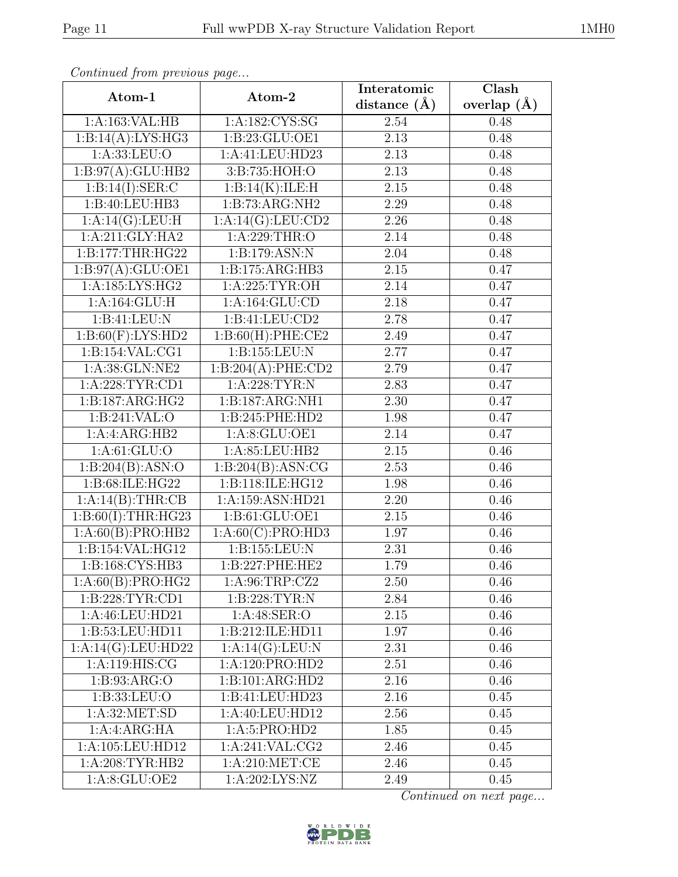| ٦ |  |
|---|--|

|                    |                    | Interatomic | $\overline{\text{Clash}}$ |
|--------------------|--------------------|-------------|---------------------------|
| Atom-1             | Atom-2             |             | overlap $(\AA)$           |
| 1:A:163:VAL:HB     | 1:A:182:CYS:SG     | 2.54        | 0.48                      |
| 1:B:14(A):LYS:HG3  | 1:B:23:GLU:OE1     | 2.13        | 0.48                      |
| 1: A: 33: LEU: O   | 1:A:41:LEU:HD23    | 2.13        | 0.48                      |
| 1:B:97(A):GLU:HB2  | 3:B:735:HOH:O      | 2.13        | 0.48                      |
| 1:B:14(I):SER:C    | 1:B:14(K):ILE:H    | 2.15        | 0.48                      |
| 1:B:40:LEU:HB3     | 1:B:73:ARG:NH2     | 2.29        | 0.48                      |
| 1:A:14(G):LEU:H    | 1:A:14(G):LEU:CD2  | 2.26        | 0.48                      |
| 1:A:211:GLY:HA2    | 1: A:229:THR:O     | 2.14        | 0.48                      |
| 1:B:177:THR:HG22   | 1:B:179:ASN:N      | 2.04        | 0.48                      |
| 1:B:97(A):GLU:OE1  | 1:B:175:ARG:HB3    | 2.15        | 0.47                      |
| 1:A:185:LYS:HG2    | 1:A:225:TYR:OH     | 2.14        | 0.47                      |
| 1:A:164:GLU:H      | 1:A:164:GLU:CD     | 2.18        | 0.47                      |
| 1:B:41:LEU:N       | 1:B:41:LEU:CD2     | 2.78        | 0.47                      |
| 1:B:60(F):LYS:HD2  | 1:B:60(H):PHE:CE2  | 2.49        | 0.47                      |
| 1:B:154:VAL:CG1    | 1:B:155:LEU:N      | 2.77        | 0.47                      |
| 1:A:38:GLN:NE2     | 1:B:204(A):PHE:CD2 | 2.79        | 0.47                      |
| 1:A:228:TYR:CD1    | 1:A:228:TYR:N      | 2.83        | 0.47                      |
| 1:B:187:ARG:HG2    | 1:B:187:ARG:NH1    | 2.30        | 0.47                      |
| 1:B:241:VAL:O      | 1:B:245:PHE:HD2    | 1.98        | 0.47                      |
| 1:A:ARG:HB2        | 1: A:8: GLU:OE1    | 2.14        | 0.47                      |
| 1: A:61: GLU:O     | 1:A:85:LEU:HB2     | 2.15        | 0.46                      |
| 1:B:204(B):ASN:O   | 1:B:204(B):ASN:CG  | 2.53        | 0.46                      |
| 1:B:68:ILE:HG22    | 1:B:118:ILE:HG12   | 1.98        | 0.46                      |
| 1:A:14(B):THR:CB   | 1:A:159:ASN:HD21   | 2.20        | 0.46                      |
| 1:B:60(I):THR:HG23 | 1:B:61:GLU:OE1     | 2.15        | 0.46                      |
| 1:A:60(B):PRO:HB2  | 1:A:60(C):PRO:HDS  | 1.97        | 0.46                      |
| 1:B:154:VAL:HG12   | 1:B:155:LEU:N      | 2.31        | 0.46                      |
| 1:B:168:CYS:HB3    | 1:B:227:PHE:HE2    | 1.79        | 0.46                      |
| 1:A:60(B):PRO:HG2  | 1:A:96:TRP:CZ2     | 2.50        | 0.46                      |
| 1:B:228:TYR:CD1    | 1: B: 228: TYR: N  | 2.84        | 0.46                      |
| 1:A:46:LEU:HD21    | 1: A:48: SER:O     | 2.15        | 0.46                      |
| 1:B:53:LEU:HD11    | 1:B:212:ILE:HD11   | 1.97        | 0.46                      |
| 1:A:14(G):LEU:HD22 | 1:A:14(G):LEU:N    | 2.31        | 0.46                      |
| 1:A:119:HIS:CG     | 1:A:120:PRO:HD2    | 2.51        | 0.46                      |
| 1: B: 93: ARG: O   | 1:B:101:ARG:HD2    | 2.16        | 0.46                      |
| 1:B:33:LEU:O       | 1:B:41:LEU:HD23    | 2.16        | 0.45                      |
| 1: A:32: MET:SD    | 1:A:40:LEU:HD12    | 2.56        | 0.45                      |
| 1:A:ARG:HA         | 1: A:5: PRO:HD2    | 1.85        | 0.45                      |
| 1:A:105:LEU:HD12   | 1: A:241:VAL: CG2  | 2.46        | 0.45                      |
| 1:A:208:TYR:HB2    | 1: A:210: MET:CE   | 2.46        | 0.45                      |
| 1: A:8: GLU:OE2    | 1: A:202: LYS: NZ  | 2.49        | 0.45                      |

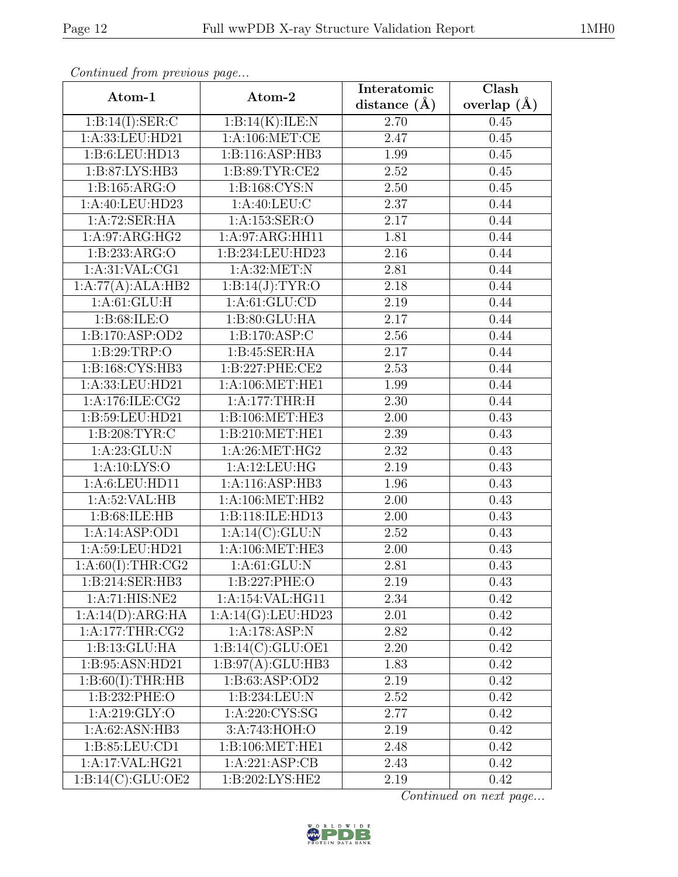| ٦ |  |
|---|--|

| onttheway, ont proceed page<br>Atom-1 | Atom-2              | Interatomic | $\overline{\text{Clash}}$ |  |
|---------------------------------------|---------------------|-------------|---------------------------|--|
|                                       |                     |             | overlap $(\AA)$           |  |
| 1:B:14(I):SER:C                       | 1:B:14(K):ILE:N     | 2.70        | 0.45                      |  |
| 1: A: 33: LEU: HD21                   | 1: A:106: MET:CE    | 2.47        | 0.45                      |  |
| 1:B:6:LEU:HD13                        | 1:B:116:ASP:HB3     | 1.99        | 0.45                      |  |
| 1:B:87:LYS:HB3                        | 1:B:89:TYR:CE2      | 2.52        | 0.45                      |  |
| 1:B:165:ARG:O                         | 1:B:168:CYS:N       | 2.50        | 0.45                      |  |
| 1:A:40:LEU:HD23                       | 1: A:40: LEU: C     | 2.37        | 0.44                      |  |
| 1:A:72:SER:HA                         | 1:A:153:SER:O       | 2.17        | 0.44                      |  |
| 1:A:97:ARG:HG2                        | 1:A:97:ARG:HH11     | 1.81        | 0.44                      |  |
| 1: B: 233: ARG: O                     | 1:B:234:LEU:HD23    | 2.16        | 0.44                      |  |
| 1:A:31:VAL:CG1                        | 1:A:32:MET:N        | 2.81        | 0.44                      |  |
| 1:A:77(A):ALA:HB2                     | 1:B:14(J):TYR:O     | 2.18        | 0.44                      |  |
| 1: A:61: GLU: H                       | 1: A:61: GLU:CD     | 2.19        | 0.44                      |  |
| 1: B:68: ILE: O                       | 1: B: 80: GLU: HA   | 2.17        | 0.44                      |  |
| 1:B:170:ASP:OD2                       | 1:B:170:ASP:C       | 2.56        | 0.44                      |  |
| 1:B:29:TRP:O                          | 1:B:45:SER:HA       | 2.17        | 0.44                      |  |
| 1: B: 168: CYS: HB3                   | 1:B:227:PHE:CE2     | 2.53        | 0.44                      |  |
| 1:A:33:LEU:HD21                       | 1: A:106: MET:HE1   | 1.99        | 0.44                      |  |
| 1:A:176:ILE:CG2                       | 1:A:177:THR:H       | 2.30        | 0.44                      |  |
| 1:B:59:LEU:HD21                       | 1:B:106:MET:HE3     | 2.00        | 0.43                      |  |
| 1: B:208: TYR: C                      | 1:B:210:MET:HE1     | 2.39        | 0.43                      |  |
| 1: A:23: GLU: N                       | 1:A:26:MET:HG2      | 2.32        | 0.43                      |  |
| 1: A: 10: LYS: O                      | 1:A:12:LEU:HG       | 2.19        | 0.43                      |  |
| 1:A:6:LEU:HD11                        | 1:A:116:ASP:HB3     | 1.96        | 0.43                      |  |
| 1:A:52:VAL:HB                         | 1:A:106:MET:HB2     | 2.00        | 0.43                      |  |
| 1:B:68:ILE:HB                         | 1:B:118:ILE:HD13    | 2.00        | 0.43                      |  |
| 1:A:14:ASP:OD1                        | 1:A:14(C):GLU:N     | 2.52        | 0.43                      |  |
| 1:A:59:LEU:HD21                       | 1:A:106:MET:HE3     | 2.00        | 0.43                      |  |
| 1:A:60(I):THR:CG2                     | 1: A:61: GLU: N     | 2.81        | 0.43                      |  |
| 1:B:214:SER:HB3                       | 1:B:227:PHE:O       | 2.19        | 0.43                      |  |
| 1:A:71:HIS:NE2                        | 1:A:154:VAL:HG11    | 2.34        | 0.42                      |  |
| 1:A:14(D):ARG:HA                      | 1:A:14(G):LEU:HD23  | 2.01        | 0.42                      |  |
| 1:A:177:THR:CG2                       | 1:A:178:ASP:N       | 2.82        | 0.42                      |  |
| 1:B:13:GLU:HA                         | 1:B:14(C):GLU:OE1   | 2.20        | 0.42                      |  |
| 1:B:95:ASN:HD21                       | 1: B:97(A): GLU:HB3 | 1.83        | 0.42                      |  |
| 1:B:60(I):THR:HB                      | 1:B:63:ASP:OD2      | 2.19        | $0.42\,$                  |  |
| 1:B:232:PHE:O                         | 1:B:234:LEU:N       | 2.52        | 0.42                      |  |
| 1: A:219: GLY:O                       | 1:A:220:CYS:SG      | 2.77        | 0.42                      |  |
| 1:A:62:ASN:HB3                        | 3:A:743:HOH:O       | 2.19        | 0.42                      |  |
| 1:B:85:LEU:CD1                        | 1:B:106:MET:HE1     | 2.48        | 0.42                      |  |
| 1:A:17:VAL:HG21                       | 1:A:221:ASP:CB      | 2.43        | 0.42                      |  |
| $1:B:14(\overline{C}):GLU:OE2$        | 1:B:202:LYS:HE2     | 2.19        | 0.42                      |  |

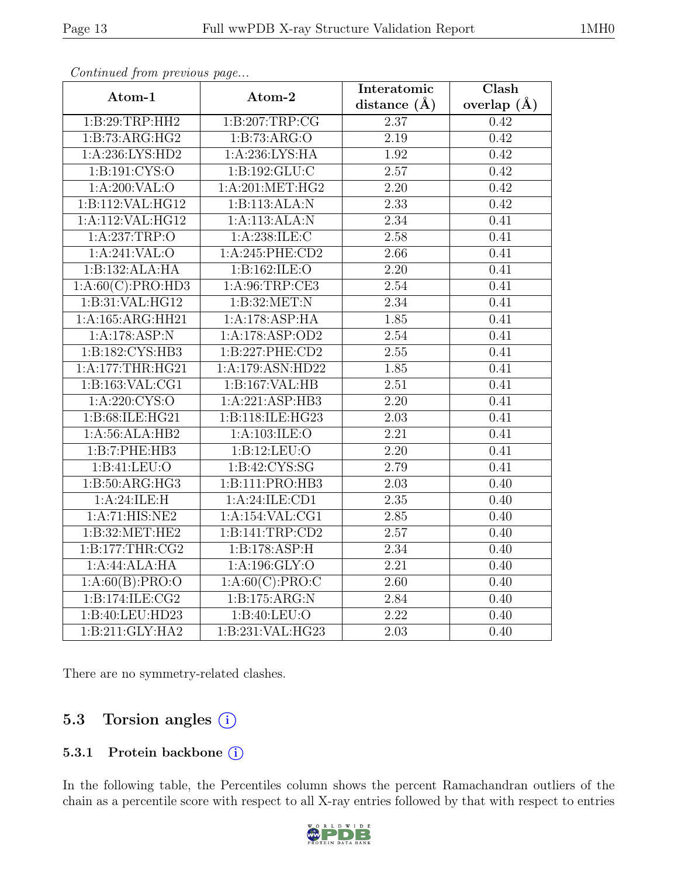| Atom-1                                             | Atom-2                            | Interatomic       | $\overline{\text{Clash}}$ |
|----------------------------------------------------|-----------------------------------|-------------------|---------------------------|
|                                                    |                                   | distance $(\AA)$  | overlap $(\AA)$           |
| 1:B:29:TRP:HH2                                     | 1:B:207:TRP:CG                    | 2.37              | 0.42                      |
| 1:B:73:ARG:HG2                                     | 1:B:73:ARG:O                      | $\overline{2.19}$ | 0.42                      |
| 1: A:236:LYS:HD2                                   | 1: A:236:LYS:HA                   | 1.92              | 0.42                      |
| 1:B:191:CYS:O                                      | 1:B:192:GLU:C                     | 2.57              | 0.42                      |
| 1: A:200: VAL:O                                    | 1: A:201:MET:HG2                  | $\overline{2.20}$ | 0.42                      |
| 1:B:112:VAL:HG12                                   | 1:B:113:ALA:N                     | 2.33              | 0.42                      |
| 1:A:112:VAL:HG12                                   | 1:A:113:ALA:N                     | $\overline{2.34}$ | 0.41                      |
| 1:A:237:TRP:O                                      | 1:A:238:ILE:C                     | 2.58              | 0.41                      |
| 1:A:241:VAL:O                                      | 1:A:245:PHE:CD2                   | 2.66              | 0.41                      |
| 1:B:132:ALA:HA                                     | 1:B:162:ILE:O                     | 2.20              | 0.41                      |
| 1:A:60(C):PRO:HD3                                  | 1: A:96:TRP:CE3                   | 2.54              | 0.41                      |
| 1:B:31:VAL:HG12                                    | 1: B:32:MET:N                     | 2.34              | 0.41                      |
| 1:A:165:ARG:HH21                                   | 1:A:178:ASP:HA                    | 1.85              | 0.41                      |
| 1:A:178:ASP:N                                      | 1:A:178:ASP:OD2                   | 2.54              | 0.41                      |
| 1:B:182:CYS:HB3                                    | 1:B:227:PHE:CD2                   | 2.55              | 0.41                      |
| 1:A:177:THR:HG21                                   | 1:A:179:ASN:HD22                  | 1.85              | 0.41                      |
| 1: B: 163: VAL: CG1                                | 1:B:167:VAL:HB                    | 2.51              | 0.41                      |
| 1:A:220:CYS:O                                      | 1:A:221:ASP:HB3                   | 2.20              | 0.41                      |
| 1:B:68:ILE:HG21                                    | 1:B:118:ILE:HG23                  | $\overline{2.03}$ | 0.41                      |
| 1:A:56:ALA:HB2                                     | $1:A:103:\overline{\text{ILE}:O}$ | 2.21              | 0.41                      |
| 1:B:7:PHE:HB3                                      | 1:B:12:LEU:O                      | $\overline{2.20}$ | 0.41                      |
| 1:B:41:LEU:O                                       | 1:B:42:CYS:SG                     | 2.79              | 0.41                      |
| 1: B: 50: ARG: HG3                                 | 1:B:111:PRO:HB3                   | $\overline{2.03}$ | 0.40                      |
| $1:A:24:\overline{\text{ILE}}:\overline{\text{H}}$ | 1:A:24:ILE:CD1                    | $\overline{2.35}$ | 0.40                      |
| 1:A:71:HIS:NE2                                     | 1:A:154:VAL:CG1                   | 2.85              | 0.40                      |
| 1:B:32:MET:HE2                                     | 1:B:141:TRP:CD2                   | $\overline{2.57}$ | 0.40                      |
| 1:B:177:THR:CG2                                    | 1:B:178:ASP:H                     | 2.34              | 0.40                      |
| 1:A:44:ALA:HA                                      | 1:A:196:GLY:O                     | $\overline{2.21}$ | 0.40                      |
| 1:A:60(B):PRO:O                                    | 1: A:60(C): PRO:C                 | 2.60              | 0.40                      |
| 1:B:174:ILE:CG2                                    | 1:B:175:ARG:N                     | 2.84              | 0.40                      |
| 1:B:40:LEU:HD23                                    | 1:B:40:LEU:O                      | $\overline{2.22}$ | 0.40                      |
| 1:B:211:GLY:HA2                                    | 1:B:231:VAL:HG23                  | 2.03              | 0.40                      |

There are no symmetry-related clashes.

# 5.3 Torsion angles (i)

#### 5.3.1 Protein backbone (i)

In the following table, the Percentiles column shows the percent Ramachandran outliers of the chain as a percentile score with respect to all X-ray entries followed by that with respect to entries

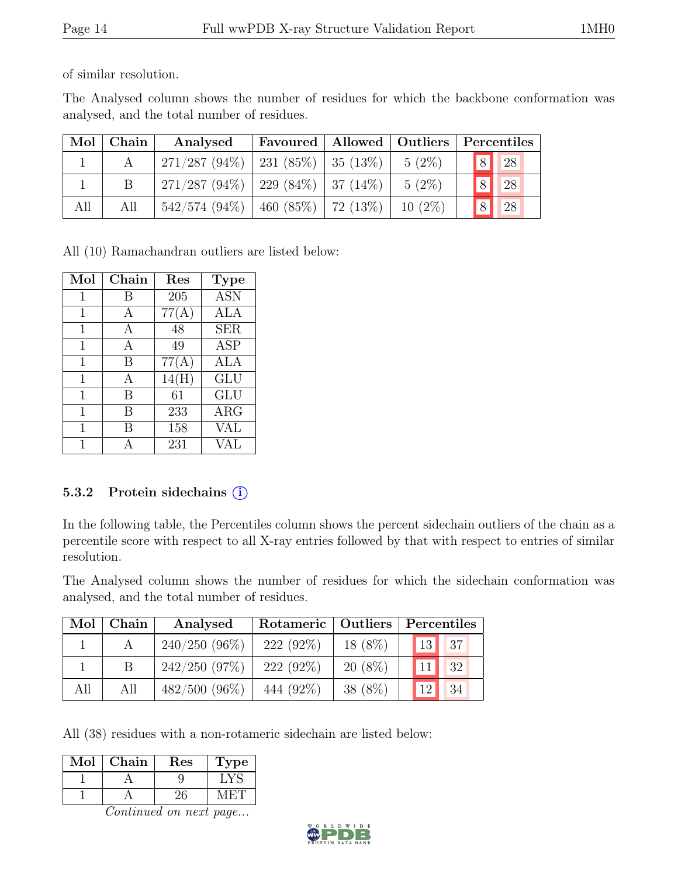of similar resolution.

The Analysed column shows the number of residues for which the backbone conformation was analysed, and the total number of residues.

| Mol | Chain | Analysed                                  | Favoured   Allowed   Outliers   Percentiles |           |            |               |
|-----|-------|-------------------------------------------|---------------------------------------------|-----------|------------|---------------|
|     |       | $271/287 (94\%)$   231 (85\%)   35 (13\%) |                                             | $5(2\%)$  | $\sqrt{8}$ | <sup>28</sup> |
|     |       | $271/287 (94\%)$   229 (84\%)   37 (14\%) |                                             | $5(2\%)$  | 8          | 28            |
| All | All   | $542/574$ (94\%)   460 (85\%)   72 (13\%) |                                             | $10(2\%)$ | 8          | 28            |

All (10) Ramachandran outliers are listed below:

| Mol | Chain | Res   | <b>Type</b> |
|-----|-------|-------|-------------|
| 1   | В     | 205   | <b>ASN</b>  |
| 1   |       | 77(A) | ALA         |
| 1   | A     | 48    | <b>SER</b>  |
| 1   | A     | 49    | <b>ASP</b>  |
| 1   | B     | 77(A) | ALA         |
| 1   | А     | 14(H) | GLU         |
| 1   | B     | 61    | <b>GLU</b>  |
| 1   | B     | 233   | $\rm{ARG}$  |
| 1   | В     | 158   | VAL         |
|     |       | 231   | VAL         |

#### 5.3.2 Protein sidechains (i)

In the following table, the Percentiles column shows the percent sidechain outliers of the chain as a percentile score with respect to all X-ray entries followed by that with respect to entries of similar resolution.

The Analysed column shows the number of residues for which the sidechain conformation was analysed, and the total number of residues.

| Mol | Chain | Analysed        |             | Rotameric   Outliers |  | Percentiles |    |  |
|-----|-------|-----------------|-------------|----------------------|--|-------------|----|--|
|     |       | $240/250(96\%)$ | $222(92\%)$ | 18 (8%)              |  | 13          | 37 |  |
|     |       | 242/250(97%)    | $222(92\%)$ | $20(8\%)$            |  | 11          | 32 |  |
| All | All   | $482/500(96\%)$ | 444 (92\%)  | $38(8\%)$            |  | 12          | 34 |  |

All (38) residues with a non-rotameric sidechain are listed below:

| Mol | Chain | Res | ype |
|-----|-------|-----|-----|
|     |       |     |     |
|     |       |     |     |

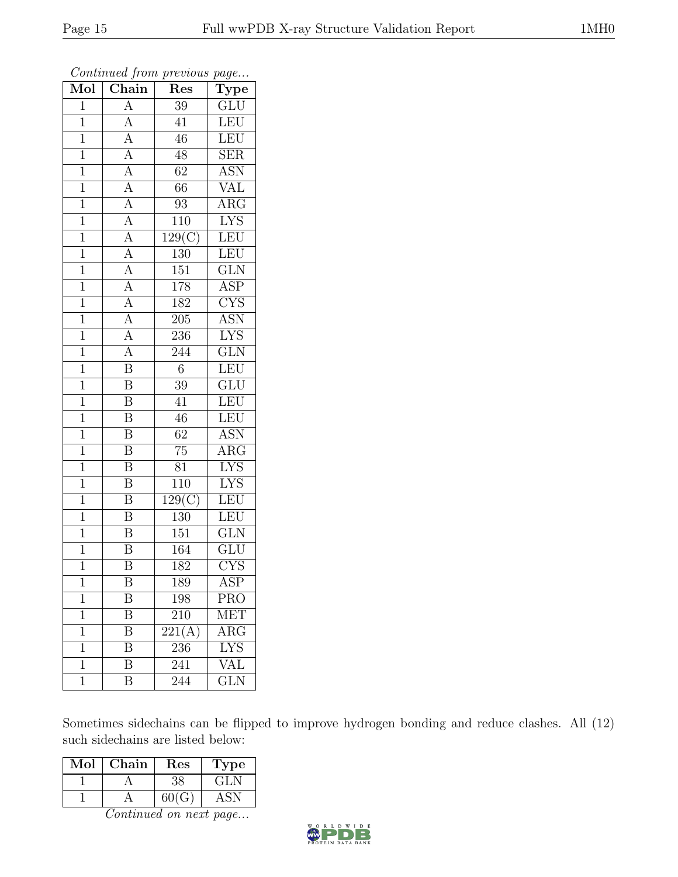| Mol            | $\overline{\text{Chain}}$           | Res                 | $\overline{\mathrm{T}}$ ype |
|----------------|-------------------------------------|---------------------|-----------------------------|
| $\mathbf{1}$   | $\boldsymbol{A}$                    | 39                  | GLU                         |
| $\mathbf 1$    | $\overline{A}$                      | 41                  | LEU                         |
| $\mathbf{1}$   | $\overline{A}$                      | 46                  | LEU                         |
| $\mathbf{1}$   | $\overline{A}$                      | 48                  | <b>SER</b>                  |
| $\overline{1}$ |                                     | $\overline{62}$     | $\overline{\mathrm{ASN}}$   |
| $\mathbf{1}$   | $\frac{A}{A}$                       | 66                  | VAL                         |
| $\overline{1}$ | $\frac{\overline{A}}{\overline{A}}$ | 93                  | ARG                         |
| $\overline{1}$ |                                     | 110                 | <b>LYS</b>                  |
| $\mathbf{1}$   | $\frac{\overline{A}}{\overline{A}}$ | $\overline{129(C)}$ | LEU                         |
| $\overline{1}$ |                                     | 130                 | LEU                         |
| $\overline{1}$ |                                     | 151                 | GLN                         |
| $\overline{1}$ | $\frac{\overline{A}}{\overline{A}}$ | $178\,$             | $\overline{\text{ASP}}$     |
| $\mathbf{1}$   |                                     | 182                 | $\overline{\text{CYS}}$     |
| $\mathbf{1}$   | $\frac{A}{A}$                       | 205                 | ASN                         |
| $\overline{1}$ | $\overline{A}$                      | 236                 | $\overline{\text{LYS}}$     |
| $\mathbf{1}$   | $\overline{A}$                      | 244                 | GLN                         |
| $\overline{1}$ | $\overline{\mathbf{B}}$             | $\overline{6}$      | LEU                         |
| $\overline{1}$ | $\overline{\mathbf{B}}$             | $39\,$              | <b>GLU</b>                  |
| $\mathbf 1$    | $\overline{\text{B}}$               | $\overline{41}$     | LEU                         |
| $\mathbf{1}$   | $\overline{\mathbf{B}}$             | 46                  | LEU                         |
| $\overline{1}$ | $\overline{\mathrm{B}}$             | 62                  | <b>ASN</b>                  |
| $\overline{1}$ | $\overline{\mathbf{B}}$             | $\overline{75}$     | $\overline{\text{ARG}}$     |
| $\mathbf{1}$   | $\overline{\mathbf{B}}$             | 81                  | <b>LYS</b>                  |
| $\overline{1}$ | $\overline{\mathrm{B}}$             | $\overline{110}$    | $\overline{\text{LYS}}$     |
| $\mathbf{1}$   | $\overline{\mathbf{B}}$             | 129(C)              | LEU                         |
| $\mathbf{1}$   | $\overline{\mathrm{B}}$             | $130\,$             | $\overline{\text{LEU}}$     |
| $\overline{1}$ | $\overline{\mathbf{B}}$             | $\overline{151}$    | $\overline{\text{GLN}}$     |
| $\mathbf 1$    | $\bar{\text{B}}$                    | 164                 | $\overline{\text{GLU}}$     |
| $\overline{1}$ | $\overline{\mathrm{B}}$             | 182                 | $\overline{\text{CYS}}$     |
| 1              | Β                                   | 189                 | ASP                         |
| 1              | Β                                   | 198                 | <b>PRO</b>                  |
| $\mathbf 1$    | $\overline{\mathrm{B}}$             | 210                 | MET                         |
| 1              | Β                                   | 221(A)              | $\rm{ARG}$                  |
| 1              | $\overline{\mathrm{B}}$             | 236                 | $\overline{\mathrm{LYS}}$   |
| 1              | Β                                   | 241                 | VAL                         |
| $\mathbf 1$    | $\overline{\mathrm{B}}$             | 244                 | $\overline{\text{GLN}}$     |

Continued from previous page...

Sometimes sidechains can be flipped to improve hydrogen bonding and reduce clashes. All (12) such sidechains are listed below:

| $\operatorname{Mol}$ | Chain | $\operatorname{Res}% \left( \mathcal{N}\right) \equiv\operatorname{Res}(\mathcal{N}_{0},\mathcal{N}_{0})$ | Lype                      |
|----------------------|-------|-----------------------------------------------------------------------------------------------------------|---------------------------|
|                      |       |                                                                                                           | $\mathbf{G}$ $\mathbf{N}$ |
|                      |       |                                                                                                           |                           |

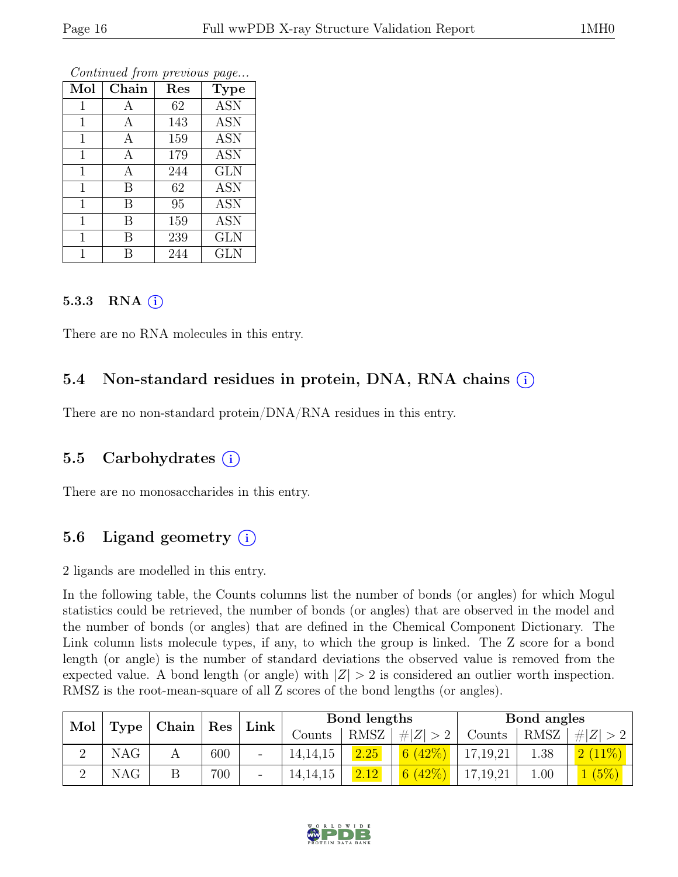| Mol          | ${\rm Chain}$ | Res | <b>Type</b>  |
|--------------|---------------|-----|--------------|
| 1            | А             | 62  | <b>ASN</b>   |
| 1            | А             | 143 | <b>ASN</b>   |
| $\mathbf{1}$ | А             | 159 | <b>ASN</b>   |
| $\mathbf 1$  | А             | 179 | <b>ASN</b>   |
| 1            | А             | 244 | <b>GLN</b>   |
| $\mathbf{1}$ | В             | 62  | <b>ASN</b>   |
| 1            | В             | 95  | <b>ASN</b>   |
| 1            | В             | 159 | <b>ASN</b>   |
| 1            | В             | 239 | <b>GLN</b>   |
|              | В             | 244 | $_{\rm GLN}$ |

#### 5.3.3 RNA  $(i)$

There are no RNA molecules in this entry.

### 5.4 Non-standard residues in protein, DNA, RNA chains (i)

There are no non-standard protein/DNA/RNA residues in this entry.

#### 5.5 Carbohydrates (i)

There are no monosaccharides in this entry.

### 5.6 Ligand geometry  $(i)$

2 ligands are modelled in this entry.

In the following table, the Counts columns list the number of bonds (or angles) for which Mogul statistics could be retrieved, the number of bonds (or angles) that are observed in the model and the number of bonds (or angles) that are defined in the Chemical Component Dictionary. The Link column lists molecule types, if any, to which the group is linked. The Z score for a bond length (or angle) is the number of standard deviations the observed value is removed from the expected value. A bond length (or angle) with  $|Z| > 2$  is considered an outlier worth inspection. RMSZ is the root-mean-square of all Z scores of the bond lengths (or angles).

|            |                          | Link |  | Bond lengths |      |             | Bond angles |             |         |
|------------|--------------------------|------|--|--------------|------|-------------|-------------|-------------|---------|
|            | Mol   Type   Chain   Res |      |  | Counts       | RMSZ | # $ Z  > 2$ | Counts      | RMSZ        | Z   > 2 |
| <b>NAG</b> |                          | 600  |  | 14, 14, 15   | 2.25 | 6(42%)      | 17,19,21    | 1.38        | 2(11%)  |
| <b>NAG</b> |                          | 700  |  | 14, 14, 15   | 2.12 | 6(42%)      | 17, 19, 21  | $00 \ldots$ | (5%)    |

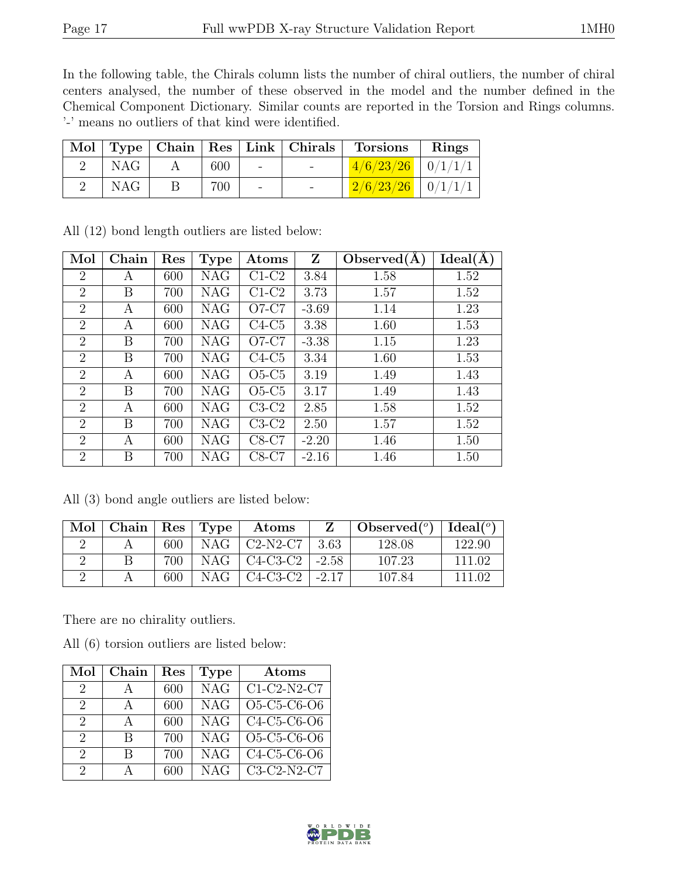In the following table, the Chirals column lists the number of chiral outliers, the number of chiral centers analysed, the number of these observed in the model and the number defined in the Chemical Component Dictionary. Similar counts are reported in the Torsion and Rings columns. '-' means no outliers of that kind were identified.

|            |     |                          | Mol   Type   Chain   Res   Link   Chirals   Torsions   Rings |  |
|------------|-----|--------------------------|--------------------------------------------------------------|--|
| NAG        | 600 | <b>Contract Contract</b> | $1/6/23/26$ 0/1/1/1                                          |  |
| <b>NAG</b> | 700 | $\overline{\phantom{a}}$ | $2/6/23/26$   $0/1/1/1$                                      |  |

| Mol            | Chain | Res | <b>Type</b> | $\rm{Atoms}$ | Z       | Observed(A) | Ideal(A) |
|----------------|-------|-----|-------------|--------------|---------|-------------|----------|
| $\overline{2}$ | А     | 600 | <b>NAG</b>  | $C1-C2$      | 3.84    | 1.58        | 1.52     |
| $\overline{2}$ | B     | 700 | <b>NAG</b>  | $C1-C2$      | 3.73    | 1.57        | 1.52     |
| $\overline{2}$ | A     | 600 | <b>NAG</b>  | $O7-C7$      | $-3.69$ | 1.14        | 1.23     |
| $\overline{2}$ | A     | 600 | <b>NAG</b>  | $C4-C5$      | 3.38    | 1.60        | 1.53     |
| $\overline{2}$ | Β     | 700 | <b>NAG</b>  | $O7-C7$      | $-3.38$ | 1.15        | 1.23     |
| $\overline{2}$ | Β     | 700 | <b>NAG</b>  | $C4-C5$      | 3.34    | 1.60        | 1.53     |
| $\overline{2}$ | A     | 600 | <b>NAG</b>  | $O5-C5$      | 3.19    | 1.49        | 1.43     |
| $\overline{2}$ | Β     | 700 | <b>NAG</b>  | $O5-C5$      | 3.17    | 1.49        | 1.43     |
| $\overline{2}$ | A     | 600 | <b>NAG</b>  | $C3-C2$      | 2.85    | 1.58        | 1.52     |
| $\overline{2}$ | Β     | 700 | <b>NAG</b>  | $C3-C2$      | 2.50    | 1.57        | 1.52     |
| $\overline{2}$ | A     | 600 | <b>NAG</b>  | $C8-C7$      | $-2.20$ | 1.46        | 1.50     |
| $\overline{2}$ | Β     | 700 | NAG         | C8-C7        | $-2.16$ | 1.46        | 1.50     |

All (12) bond length outliers are listed below:

All (3) bond angle outliers are listed below:

| Mol | Chain |     | $\vert$ Res $\vert$ Type | Atoms                                          |         | Observed $(°)$ | Ideal $(^\circ)$ |
|-----|-------|-----|--------------------------|------------------------------------------------|---------|----------------|------------------|
|     |       | 600 | NAG                      | $C2-N2-C7$                                     | 3.63    | 128.08         | 122.90           |
|     |       | 700 | NAG                      | C4-C3-C2                                       | $-2.58$ | 107.23         | 111 02           |
|     |       | 600 | NAG                      | C <sub>4</sub> -C <sub>3</sub> -C <sub>2</sub> | $-2.17$ | 107.84         | 111.02           |

There are no chirality outliers.

All (6) torsion outliers are listed below:

| Mol                         | Chain        | $\operatorname{Res}% \left( \mathcal{N}\right) \equiv\operatorname{Res}(\mathcal{N}_{0})\cap\mathcal{N}_{1}$ | <b>Type</b> | Atoms                     |
|-----------------------------|--------------|--------------------------------------------------------------------------------------------------------------|-------------|---------------------------|
| 2                           | А            | 600                                                                                                          | <b>NAG</b>  | $C1-C2-N2-C7$             |
| $\mathcal{D}_{\mathcal{L}}$ | $\mathsf{A}$ | 600                                                                                                          | <b>NAG</b>  | O5-C5-C6-O6               |
| 2                           | $\mathsf{A}$ | 600                                                                                                          | <b>NAG</b>  | $C4-C5-C6-O6$             |
| $\mathcal{D}_{\mathcal{L}}$ | R            | 700                                                                                                          | <b>NAG</b>  | O5-C5-C6-O6               |
| $\mathcal{D}_{\mathcal{L}}$ | R            | 700                                                                                                          | NAG         | $\overline{C4-C5-C6}$ -O6 |
| $\mathcal{D}_{\mathcal{L}}$ | Д            | 600                                                                                                          | <b>NAG</b>  | C3-C2-N2-C7               |

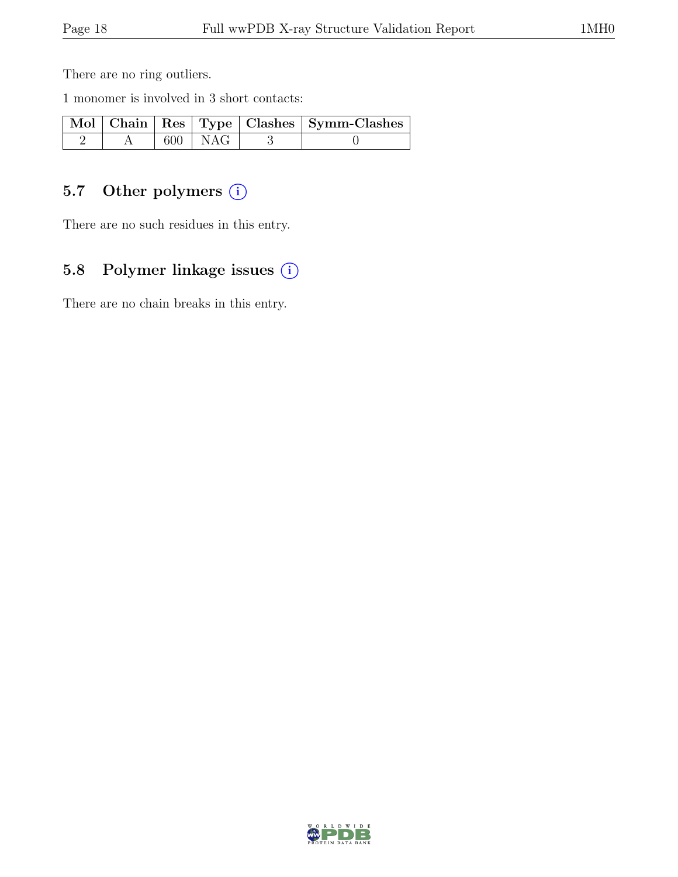There are no ring outliers.

1 monomer is involved in 3 short contacts:

|  |             | Mol   Chain   Res   Type   Clashes   Symm-Clashes |
|--|-------------|---------------------------------------------------|
|  | $600$   NAG |                                                   |

# 5.7 Other polymers (i)

There are no such residues in this entry.

### 5.8 Polymer linkage issues (i)

There are no chain breaks in this entry.

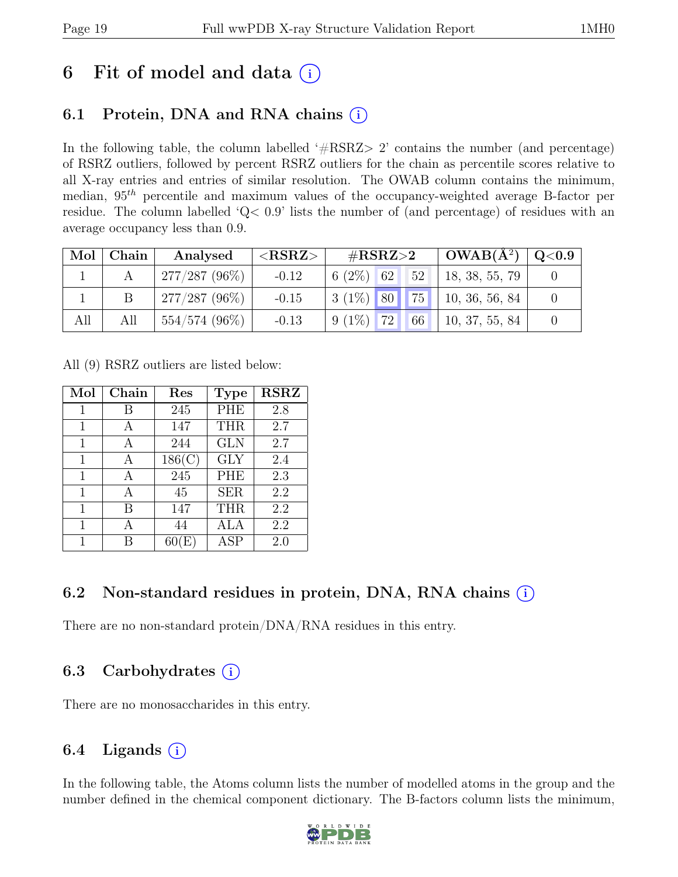# 6 Fit of model and data  $(i)$

# 6.1 Protein, DNA and RNA chains  $(i)$

In the following table, the column labelled ' $\#\text{RSRZ}>2$ ' contains the number (and percentage) of RSRZ outliers, followed by percent RSRZ outliers for the chain as percentile scores relative to all X-ray entries and entries of similar resolution. The OWAB column contains the minimum, median,  $95<sup>th</sup>$  percentile and maximum values of the occupancy-weighted average B-factor per residue. The column labelled 'Q< 0.9' lists the number of (and percentage) of residues with an average occupancy less than 0.9.

| Mol | Chain | Analysed        | ${ <\hspace{-1.5pt}{\mathrm{RSRZ}} \hspace{-1.5pt}>}$ | $\#\text{RSRZ}\!\!>\!\!2$ |                 | $OWAB(A^2)$    | $\rm Q\textcolor{black}{<}0.9$ |
|-----|-------|-----------------|-------------------------------------------------------|---------------------------|-----------------|----------------|--------------------------------|
|     |       | $277/287(96\%)$ | $-0.12$                                               | $6(2\%)$ 62               | $\triangle 152$ | 18, 38, 55, 79 |                                |
|     |       | $277/287(96\%)$ | $-0.15$                                               | $3(1\%)$ 80 75            |                 | 10, 36, 56, 84 |                                |
| All | All   | $554/574(96\%)$ | $-0.13$                                               | $9(1\%)$ 72 66            |                 | 10, 37, 55, 84 |                                |

All (9) RSRZ outliers are listed below:

| Mol | Chain | $\operatorname{Res}% \left( \mathcal{N}\right) \equiv\operatorname{Res}(\mathcal{N}_{0},\mathcal{N}_{0})$ | <b>Type</b> | <b>RSRZ</b> |
|-----|-------|-----------------------------------------------------------------------------------------------------------|-------------|-------------|
| 1   | В     | 245                                                                                                       | <b>PHE</b>  | 2.8         |
| 1   |       | 147                                                                                                       | <b>THR</b>  | 2.7         |
| 1   | А     | 244                                                                                                       | <b>GLN</b>  | 2.7         |
| 1   | А     | 186(C)                                                                                                    | <b>GLY</b>  | 2.4         |
| 1   | А     | 245                                                                                                       | PHE         | 2.3         |
| 1   | А     | 45                                                                                                        | <b>SER</b>  | 2.2         |
| 1   | В     | 147                                                                                                       | <b>THR</b>  | 2.2         |
| 1   | А     | 44                                                                                                        | <b>ALA</b>  | 2.2         |
| 1   |       | F.                                                                                                        | ${\rm ASP}$ | 2.0         |

### 6.2 Non-standard residues in protein, DNA, RNA chains  $(i)$

There are no non-standard protein/DNA/RNA residues in this entry.

### 6.3 Carbohydrates (i)

There are no monosaccharides in this entry.

### 6.4 Ligands  $(i)$

In the following table, the Atoms column lists the number of modelled atoms in the group and the number defined in the chemical component dictionary. The B-factors column lists the minimum,